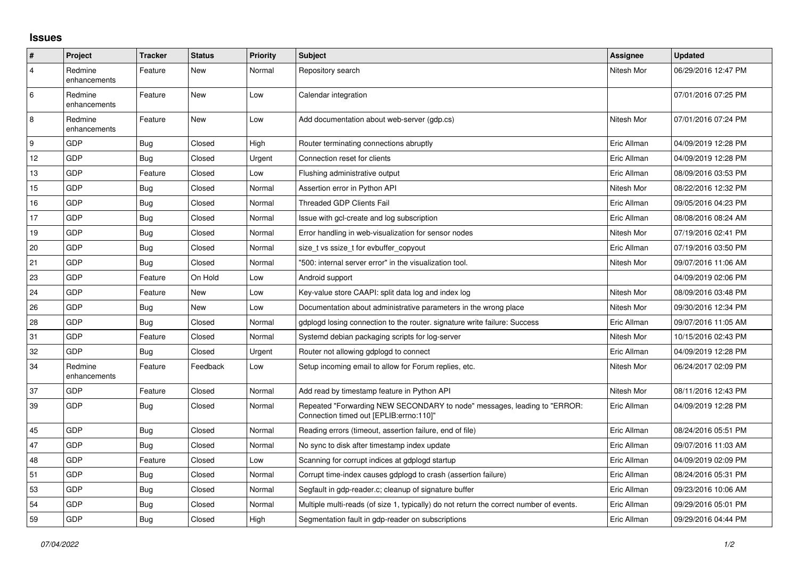## **Issues**

| #              | Project                 | <b>Tracker</b> | <b>Status</b> | Priority | <b>Subject</b>                                                                                                      | <b>Assignee</b> | <b>Updated</b>      |
|----------------|-------------------------|----------------|---------------|----------|---------------------------------------------------------------------------------------------------------------------|-----------------|---------------------|
| $\overline{4}$ | Redmine<br>enhancements | Feature        | New           | Normal   | Repository search                                                                                                   | Nitesh Mor      | 06/29/2016 12:47 PM |
| 6              | Redmine<br>enhancements | Feature        | New           | Low      | Calendar integration                                                                                                |                 | 07/01/2016 07:25 PM |
| $\overline{8}$ | Redmine<br>enhancements | Feature        | New           | Low      | Add documentation about web-server (gdp.cs)                                                                         | Nitesh Mor      | 07/01/2016 07:24 PM |
| 9              | GDP                     | Bug            | Closed        | High     | Router terminating connections abruptly                                                                             | Eric Allman     | 04/09/2019 12:28 PM |
| 12             | GDP                     | Bug            | Closed        | Urgent   | Connection reset for clients                                                                                        | Eric Allman     | 04/09/2019 12:28 PM |
| 13             | GDP                     | Feature        | Closed        | Low      | Flushing administrative output                                                                                      | Eric Allman     | 08/09/2016 03:53 PM |
| 15             | GDP                     | <b>Bug</b>     | Closed        | Normal   | Assertion error in Python API                                                                                       | Nitesh Mor      | 08/22/2016 12:32 PM |
| 16             | GDP                     | <b>Bug</b>     | Closed        | Normal   | <b>Threaded GDP Clients Fail</b>                                                                                    | Eric Allman     | 09/05/2016 04:23 PM |
| 17             | GDP                     | Bug            | Closed        | Normal   | Issue with gcl-create and log subscription                                                                          | Eric Allman     | 08/08/2016 08:24 AM |
| 19             | GDP                     | <b>Bug</b>     | Closed        | Normal   | Error handling in web-visualization for sensor nodes                                                                | Nitesh Mor      | 07/19/2016 02:41 PM |
| 20             | GDP                     | Bug            | Closed        | Normal   | size t vs ssize t for evbuffer copyout                                                                              | Eric Allman     | 07/19/2016 03:50 PM |
| 21             | GDP                     | <b>Bug</b>     | Closed        | Normal   | '500: internal server error" in the visualization tool.                                                             | Nitesh Mor      | 09/07/2016 11:06 AM |
| 23             | GDP                     | Feature        | On Hold       | Low      | Android support                                                                                                     |                 | 04/09/2019 02:06 PM |
| 24             | GDP                     | Feature        | New           | Low      | Key-value store CAAPI: split data log and index log                                                                 | Nitesh Mor      | 08/09/2016 03:48 PM |
| 26             | GDP                     | Bug            | New           | Low      | Documentation about administrative parameters in the wrong place                                                    | Nitesh Mor      | 09/30/2016 12:34 PM |
| 28             | GDP                     | Bug            | Closed        | Normal   | gdplogd losing connection to the router, signature write failure: Success                                           | Eric Allman     | 09/07/2016 11:05 AM |
| 31             | GDP                     | Feature        | Closed        | Normal   | Systemd debian packaging scripts for log-server                                                                     | Nitesh Mor      | 10/15/2016 02:43 PM |
| 32             | GDP                     | <b>Bug</b>     | Closed        | Urgent   | Router not allowing gdplogd to connect                                                                              | Eric Allman     | 04/09/2019 12:28 PM |
| 34             | Redmine<br>enhancements | Feature        | Feedback      | Low      | Setup incoming email to allow for Forum replies, etc.                                                               | Nitesh Mor      | 06/24/2017 02:09 PM |
| 37             | GDP                     | Feature        | Closed        | Normal   | Add read by timestamp feature in Python API                                                                         | Nitesh Mor      | 08/11/2016 12:43 PM |
| 39             | GDP                     | <b>Bug</b>     | Closed        | Normal   | Repeated "Forwarding NEW SECONDARY to node" messages, leading to "ERROR:<br>Connection timed out [EPLIB:errno:110]" | Eric Allman     | 04/09/2019 12:28 PM |
| 45             | GDP                     | Bug            | Closed        | Normal   | Reading errors (timeout, assertion failure, end of file)                                                            | Eric Allman     | 08/24/2016 05:51 PM |
| 47             | GDP                     | Bug            | Closed        | Normal   | No sync to disk after timestamp index update                                                                        | Eric Allman     | 09/07/2016 11:03 AM |
| 48             | GDP                     | Feature        | Closed        | Low      | Scanning for corrupt indices at gdplogd startup                                                                     | Eric Allman     | 04/09/2019 02:09 PM |
| 51             | GDP                     | Bug            | Closed        | Normal   | Corrupt time-index causes gdplogd to crash (assertion failure)                                                      | Eric Allman     | 08/24/2016 05:31 PM |
| 53             | GDP                     | Bug            | Closed        | Normal   | Segfault in gdp-reader.c; cleanup of signature buffer                                                               | Eric Allman     | 09/23/2016 10:06 AM |
| 54             | GDP                     | Bug            | Closed        | Normal   | Multiple multi-reads (of size 1, typically) do not return the correct number of events.                             | Eric Allman     | 09/29/2016 05:01 PM |
| 59             | GDP                     | Bug            | Closed        | High     | Segmentation fault in gdp-reader on subscriptions                                                                   | Eric Allman     | 09/29/2016 04:44 PM |